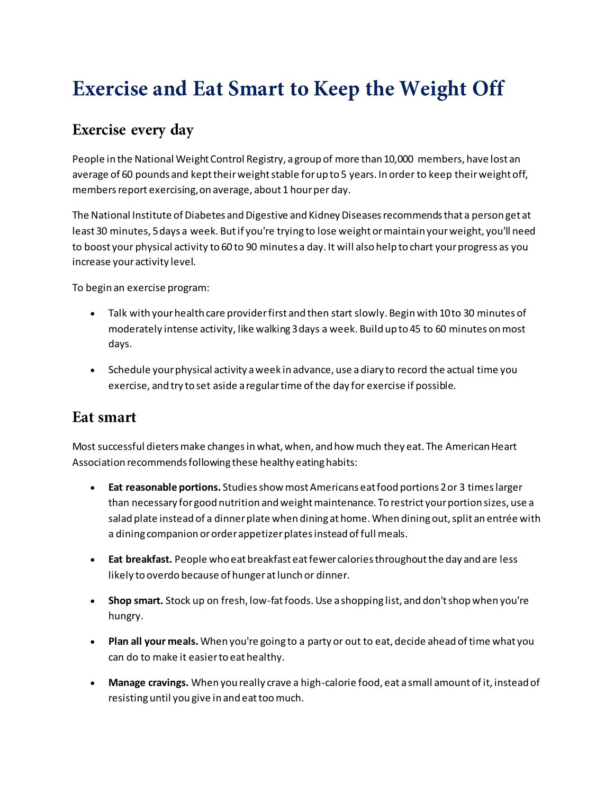## **Exercise and Eat Smart to Keep the Weight Off**

## Exercise every day

People in the National Weight Control Registry, a group of more than 10,000 members, have lost an average of 60 pounds and kept their weight stable for up to 5 years. In order to keep their weight off, members report exercising, on average, about 1 hour per day.

The National Institute of Diabetes and Digestive and Kidney Diseases recommends that a person get at least 30 minutes, 5 days a week. But if you're trying to lose weight or maintain your weight, you'll need to boost your physical activity to 60 to 90 minutes a day. It will also help to chart your progress as you increase your activity level.

To begin an exercise program:

- Talk with your health care provider first and then start slowly. Begin with 10 to 30 minutes of moderately intense activity, like walking 3 days a week. Build up to 45 to 60 minutes on most days.
- Schedule your physical activity a week in advance, use a diary to record the actual time you exercise, and try to set aside a regular time of the day for exercise if possible.

## Eat smart

Most successful dieters make changes in what, when, and how much they eat. The American Heart Association recommends following these healthy eating habits:

- **Eat reasonable portions.** Studiesshow most Americans eat food portions 2 or 3 times larger than necessary for good nutrition and weight maintenance. To restrict your portion sizes, use a salad plate instead of a dinner plate when dining at home. When dining out, split an entrée with a dining companion or order appetizer plates instead of full meals.
- **Eat breakfast.** People who eat breakfast eat fewer calories throughout the day and are less likely to overdo because of hunger at lunch or dinner.
- **Shop smart.** Stock up on fresh, low-fat foods. Use a shopping list, and don't shop when you're hungry.
- **Plan all your meals.** When you're going to a party or out to eat, decide ahead of time what you can do to make it easier to eat healthy.
- **Manage cravings.** When you really crave a high-calorie food, eat a small amount of it, instead of resisting until you give in and eat too much.